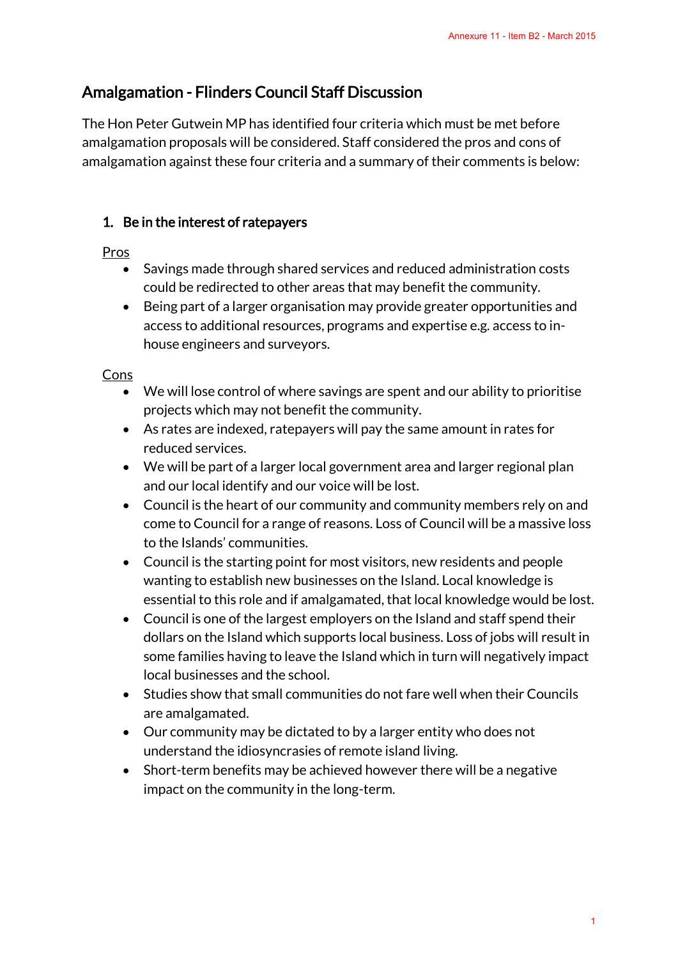# Amalgamation - Flinders Council Staff Discussion

The Hon Peter Gutwein MP has identified four criteria which must be met before amalgamation proposals will be considered. Staff considered the pros and cons of amalgamation against these four criteria and a summary of their comments is below:

# 1. Be in the interest of ratepayers

Pros

- Savings made through shared services and reduced administration costs could be redirected to other areas that may benefit the community.
- Being part of a larger organisation may provide greater opportunities and access to additional resources, programs and expertise e.g. access to inhouse engineers and surveyors.

Cons

- We will lose control of where savings are spent and our ability to prioritise projects which may not benefit the community.
- As rates are indexed, ratepayers will pay the same amount in rates for reduced services.
- We will be part of a larger local government area and larger regional plan and our local identify and our voice will be lost.
- Council is the heart of our community and community members rely on and come to Council for a range of reasons. Loss of Council will be a massive loss to the Islands' communities.
- Council is the starting point for most visitors, new residents and people wanting to establish new businesses on the Island. Local knowledge is essential to this role and if amalgamated, that local knowledge would be lost.
- Council is one of the largest employers on the Island and staff spend their dollars on the Island which supports local business. Loss of jobs will result in some families having to leave the Island which in turn will negatively impact local businesses and the school. Annexure 11 - Item B2 - March 2015<br>
must be met before<br>
the pros and cons of<br>
eir comments is below:<br>
administration costs<br>
the community.<br>
Iter opportunities and<br>
tise e.g. access to in-<br>
our ability to prioritise<br>
mount
- Studies show that small communities do not fare well when their Councils are amalgamated.
- Our community may be dictated to by a larger entity who does not understand the idiosyncrasies of remote island living.
- Short-term benefits may be achieved however there will be a negative impact on the community in the long-term.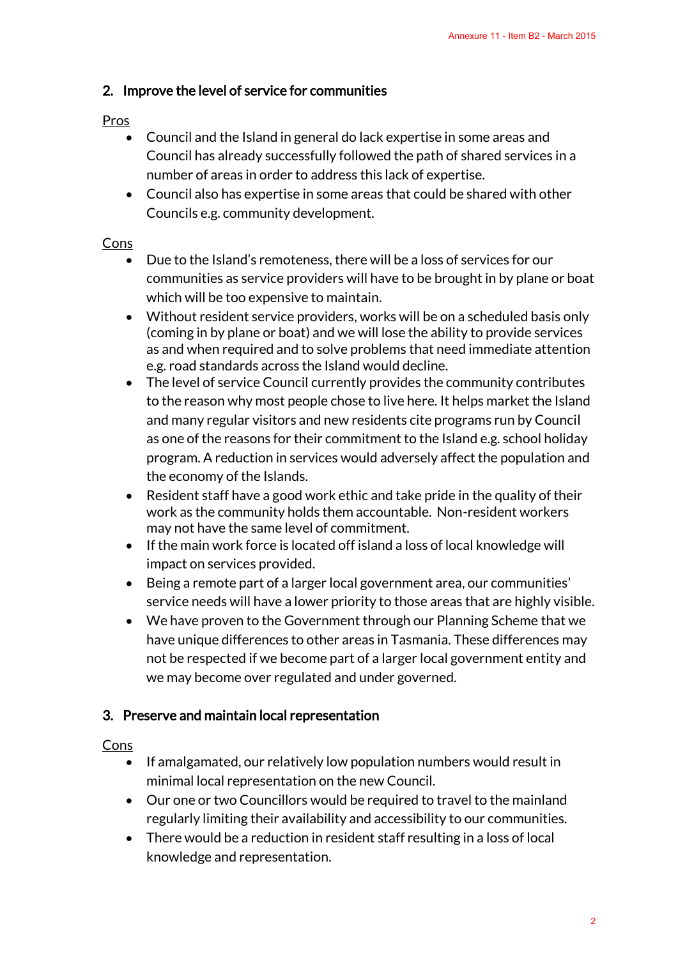## 2. Improve the level of service for communities

#### Pros

- Council and the Island in general do lack expertise in some areas and Council has already successfully followed the path of shared services in a number of areas in order to address this lack of expertise.
- Council also has expertise in some areas that could be shared with other Councils e.g. community development.

#### Cons

- Due to the Island's remoteness, there will be a loss of services for our communities as service providers will have to be brought in by plane or boat which will be too expensive to maintain.
- Without resident service providers, works will be on a scheduled basis only (coming in by plane or boat) and we will lose the ability to provide services as and when required and to solve problems that need immediate attention e.g. road standards across the Island would decline.
- The level of service Council currently provides the community contributes to the reason why most people chose to live here. It helps market the Island and many regular visitors and new residents cite programs run by Council as one of the reasons for their commitment to the Island e.g. school holiday program. A reduction in services would adversely affect the population and the economy of the Islands. Annexure 11 - Item B2 - March 2015<br>
n some areas and<br>
of shared services in a<br>
ertise.<br>
be shared with other<br>
of services for our<br>
ought in by plane or boat<br>
n a scheduled basis only<br>
lity to provide services<br>
eed immediat
- Resident staff have a good work ethic and take pride in the quality of their work as the community holds them accountable. Non-resident workers may not have the same level of commitment.
- If the main work force is located off island a loss of local knowledge will impact on services provided.
- Being a remote part of a larger local government area, our communities' service needs will have a lower priority to those areas that are highly visible.
- We have proven to the Government through our Planning Scheme that we have unique differences to other areas in Tasmania. These differences may not be respected if we become part of a larger local government entity and we may become over regulated and under governed.

#### 3. Preserve and maintain local representation

#### Cons

- If amalgamated, our relatively low population numbers would result in minimal local representation on the new Council.
- Our one or two Councillors would be required to travel to the mainland regularly limiting their availability and accessibility to our communities.
- There would be a reduction in resident staff resulting in a loss of local knowledge and representation.